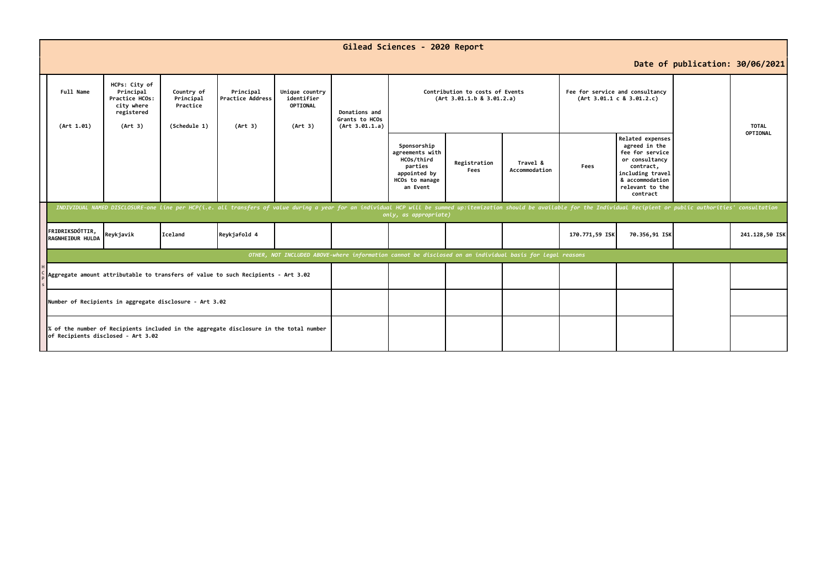|                                                                                                                                                                                         | Gilead Sciences - 2020 Report                                                                                                                                                                                                                           |                                                                                     |                                                     |                                          |                                                     |                                                   |                                                                                                       |                      |                           |                |                                                                                                                                                           |                                 |                                 |
|-----------------------------------------------------------------------------------------------------------------------------------------------------------------------------------------|---------------------------------------------------------------------------------------------------------------------------------------------------------------------------------------------------------------------------------------------------------|-------------------------------------------------------------------------------------|-----------------------------------------------------|------------------------------------------|-----------------------------------------------------|---------------------------------------------------|-------------------------------------------------------------------------------------------------------|----------------------|---------------------------|----------------|-----------------------------------------------------------------------------------------------------------------------------------------------------------|---------------------------------|---------------------------------|
|                                                                                                                                                                                         |                                                                                                                                                                                                                                                         |                                                                                     |                                                     |                                          |                                                     |                                                   |                                                                                                       |                      |                           |                |                                                                                                                                                           | Date of publication: 30/06/2021 |                                 |
|                                                                                                                                                                                         | Full Name<br>(Art 1.01)                                                                                                                                                                                                                                 | HCPs: City of<br>Principal<br>Practice HCOs:<br>city where<br>registered<br>(Art 3) | Country of<br>Principal<br>Practice<br>(Schedule 1) | Principal<br>Practice Address<br>(Art 3) | Unique country<br>identifier<br>OPTIONAL<br>(Art 3) | Donations and<br>Grants to HCOs<br>(Art 3.01.1.a) | Contribution to costs of Events<br>(Art 3.01.1.b 8 3.01.2.a)                                          |                      |                           |                | Fee for service and consultancy<br>(Art 3.01.1 c 8 3.01.2.c)                                                                                              |                                 | <b>TOTAL</b><br><b>OPTIONAL</b> |
|                                                                                                                                                                                         |                                                                                                                                                                                                                                                         |                                                                                     |                                                     |                                          |                                                     |                                                   | Sponsorship<br>agreements with<br>HCOs/third<br>parties<br>appointed by<br>HCOs to manage<br>an Event | Registration<br>Fees | Travel &<br>Accommodation | Fees           | Related expenses<br>agreed in the<br>fee for service<br>or consultancy<br>contract,<br>including travel<br>& accommodation<br>relevant to the<br>contract |                                 |                                 |
|                                                                                                                                                                                         | INDIVIDUAL NAMED DISCLOSURE-one line per HCP(i.e. all transfers of value during a year for an individual HCP will be summed up:itemization should be available for the Individual Recipient or public authorities' consultatio<br>only, as appropriate) |                                                                                     |                                                     |                                          |                                                     |                                                   |                                                                                                       |                      |                           |                |                                                                                                                                                           |                                 |                                 |
|                                                                                                                                                                                         | FRIÐRIKSDÓTTIR.<br>RAGNHEIÐUR HULDA                                                                                                                                                                                                                     | Reykjavik                                                                           | Iceland                                             | Reykjafold 4                             |                                                     |                                                   |                                                                                                       |                      |                           | 170.771,59 ISK | 70.356,91 ISK                                                                                                                                             |                                 | 241.128,50 ISK                  |
|                                                                                                                                                                                         | OTHER, NOT INCLUDED ABOVE-where information cannot be disclosed on an individual basis for legal reasons                                                                                                                                                |                                                                                     |                                                     |                                          |                                                     |                                                   |                                                                                                       |                      |                           |                |                                                                                                                                                           |                                 |                                 |
|                                                                                                                                                                                         | Aggregate amount attributable to transfers of value to such Recipients - Art 3.02                                                                                                                                                                       |                                                                                     |                                                     |                                          |                                                     |                                                   |                                                                                                       |                      |                           |                |                                                                                                                                                           |                                 |                                 |
| Number of Recipients in aggregate disclosure - Art 3.02<br>% of the number of Recipients included in the aggregate disclosure in the total number<br>of Recipients disclosed - Art 3.02 |                                                                                                                                                                                                                                                         |                                                                                     |                                                     |                                          |                                                     |                                                   |                                                                                                       |                      |                           |                |                                                                                                                                                           |                                 |                                 |
|                                                                                                                                                                                         |                                                                                                                                                                                                                                                         |                                                                                     |                                                     |                                          |                                                     |                                                   |                                                                                                       |                      |                           |                |                                                                                                                                                           |                                 |                                 |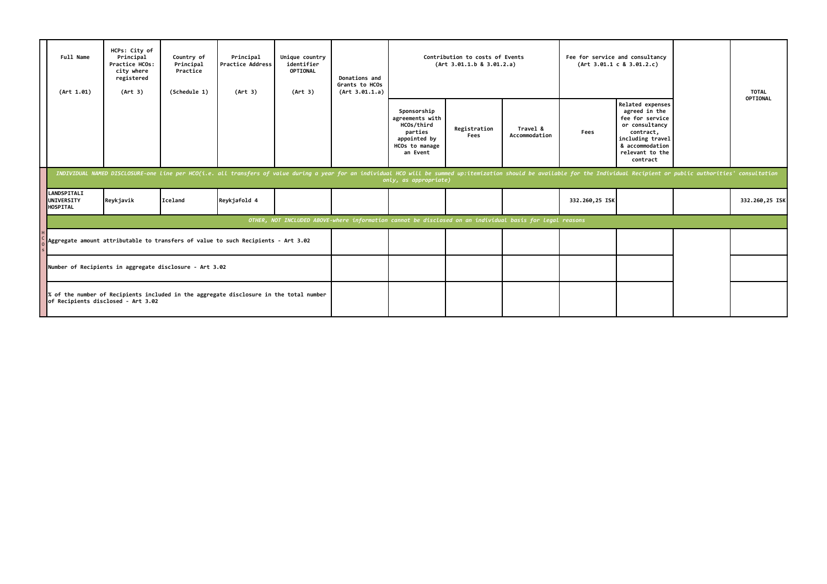| Full Name<br>(Art 1.01)                                                                                                                                                                                                                                 | HCPs: City of<br>Principal<br>Practice HCOs:<br>city where<br>registered<br>(Art 3)                                                                                                          | Country of<br>Principal<br>Practice<br>(Schedule 1) | Principal<br><b>Practice Address</b><br>(Art 3) | Unique country<br>identifier<br>OPTIONAL<br>(Art 3) | Donations and<br>Grants to HCOs<br>(Art 3.01.1.a) |                                                                                                       | Contribution to costs of Events<br>(Art 3.01.1.b 8 3.01.2.a) |                           | Fee for service and consultancy<br>(Art 3.01.1 c 8 3.01.2.c) |                                                                                                                                                           |  | <b>TOTAL</b><br>OPTIONAL |
|---------------------------------------------------------------------------------------------------------------------------------------------------------------------------------------------------------------------------------------------------------|----------------------------------------------------------------------------------------------------------------------------------------------------------------------------------------------|-----------------------------------------------------|-------------------------------------------------|-----------------------------------------------------|---------------------------------------------------|-------------------------------------------------------------------------------------------------------|--------------------------------------------------------------|---------------------------|--------------------------------------------------------------|-----------------------------------------------------------------------------------------------------------------------------------------------------------|--|--------------------------|
|                                                                                                                                                                                                                                                         |                                                                                                                                                                                              |                                                     |                                                 |                                                     |                                                   | Sponsorship<br>agreements with<br>HCOs/third<br>parties<br>appointed by<br>HCOs to manage<br>an Event | Registration<br>Fees                                         | Travel &<br>Accommodation | Fees                                                         | Related expenses<br>agreed in the<br>fee for service<br>or consultancy<br>contract,<br>including travel<br>& accommodation<br>relevant to the<br>contract |  |                          |
| INDIVIDUAL NAMED DISCLOSURE-one line per HCO(i.e. all transfers of value during a year for an individual HCO will be summed up:itemization should be available for the Individual Recipient or public authorities' consultatio<br>only, as appropriate) |                                                                                                                                                                                              |                                                     |                                                 |                                                     |                                                   |                                                                                                       |                                                              |                           |                                                              |                                                                                                                                                           |  |                          |
| <b>LANDSPITALI</b><br><b>UNIVERSITY</b><br><b>HOSPITAL</b>                                                                                                                                                                                              | Reykjavik                                                                                                                                                                                    | Iceland                                             | Reykjafold 4                                    |                                                     |                                                   |                                                                                                       |                                                              |                           | 332.260,25 ISK                                               |                                                                                                                                                           |  | 332.260,25 ISK           |
| OTHER, NOT INCLUDED ABOVE-where information cannot be disclosed on an individual basis for legal reasons                                                                                                                                                |                                                                                                                                                                                              |                                                     |                                                 |                                                     |                                                   |                                                                                                       |                                                              |                           |                                                              |                                                                                                                                                           |  |                          |
| Aggregate amount attributable to transfers of value to such Recipients - Art 3.02                                                                                                                                                                       |                                                                                                                                                                                              |                                                     |                                                 |                                                     |                                                   |                                                                                                       |                                                              |                           |                                                              |                                                                                                                                                           |  |                          |
|                                                                                                                                                                                                                                                         | Number of Recipients in aggregate disclosure - Art 3.02<br>$\ $ % of the number of Recipients included in the aggregate disclosure in the total number<br>of Recipients disclosed - Art 3.02 |                                                     |                                                 |                                                     |                                                   |                                                                                                       |                                                              |                           |                                                              |                                                                                                                                                           |  |                          |
|                                                                                                                                                                                                                                                         |                                                                                                                                                                                              |                                                     |                                                 |                                                     |                                                   |                                                                                                       |                                                              |                           |                                                              |                                                                                                                                                           |  |                          |